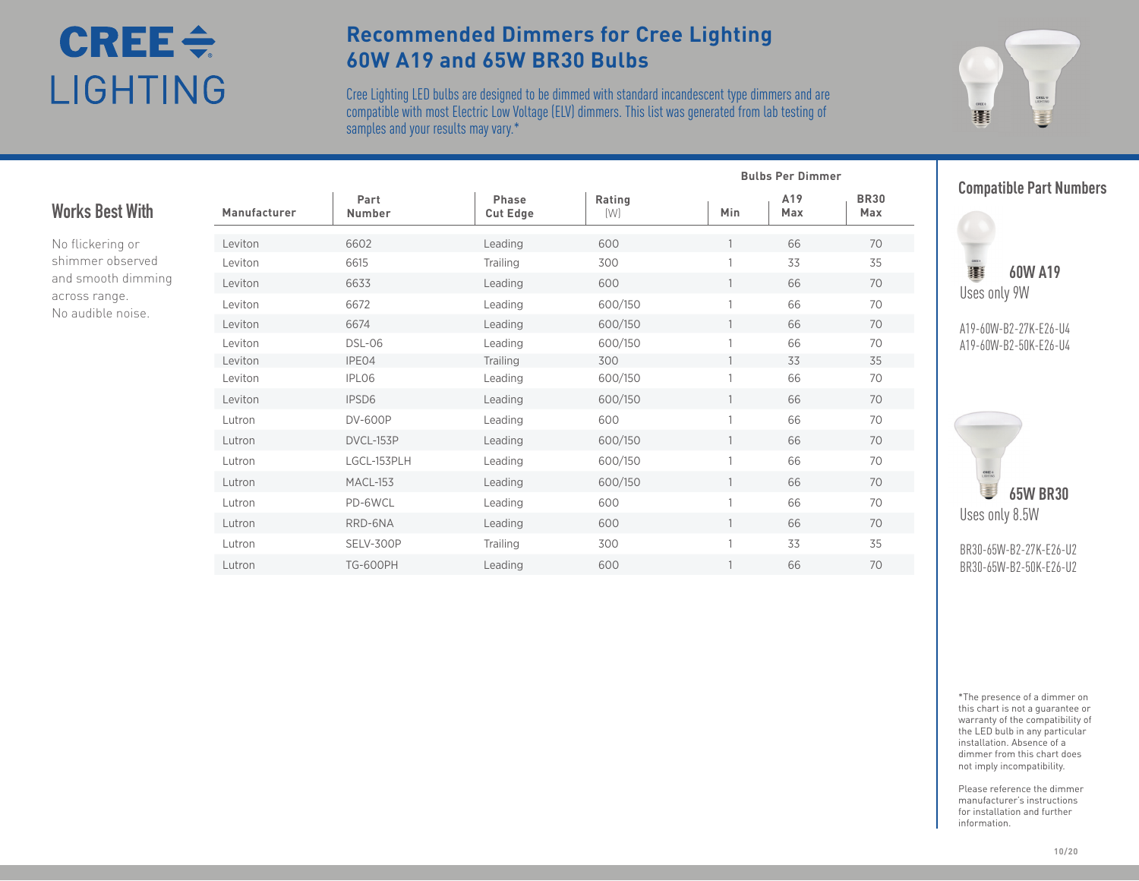# $CRE \div$ LIGHTING

### **Recommended Dimmers for Cree Lighting 60W A19 and 65W BR30 Bulbs**

Cree Lighting LED bulbs are designed to be dimmed with standard incandescent type dimmers and are  $\epsilon$  compatible with most Electric Low Voltage (ELV) dimmers. This list was generated from lab testing of your results may vary.\* samples and your results may vary.\*



#### Leviton 6602 Leading 600 1 66 70 Leviton 6615 Trailing 300 1 33 35 Leviton 6633 Leading 600 1 66 70 Leviton 6672 Leading 600/150 1 66 70 Leviton 6674 Leading 600/150 1 66 70 Leviton DSL-06 Leading 600/150 1 66 70 Leviton IPE04 Trailing 300 1 33 35 Leviton IPL06 Leading 600/150 1 66 70 Leviton IPSD6 Leading 600/150 1 66 70 Lutron DV-600P Leading 600 1 66 70 Lutron DVCL-153P Leading 600/150 1 66 70 Lutron LGCL-153PLH Leading 600/150 1 66 70 Lutron MACL-153 Leading 600/150 1 66 70 Lutron PD-6WCL Leading 600 1 66 70 Lutron RRD-6NA Leading 600 1 66 70 Lutron SELV-300P Trailing 300 1 33 35 Lutron TG-600PH Leading 600 1 66 70 **Manufacturer Part Number Phase Cut Edge Rating** (W) **Min A19 Max BR30 Max Works Best With** No flickering or shimmer observed and smooth dimming across range. No audible noise.

**Compatible Part Numbers**



**Bulbs Per Dimmer**

**图 60W A19** Uses only 9W

A19-60W-B2-27K-E26-U4 A19-60W-B2-50K-E26-U4



BR30-65W-B2-27K-E26-U2 BR30-65W-B2-50K-E26-U2

\*The presence of a dimmer on this chart is not a guarantee or warranty of the compatibility of the LED bulb in any particular installation. Absence of a dimmer from this chart does not imply incompatibility.

Please reference the dimmer manufacturer's instructions for installation and further information.